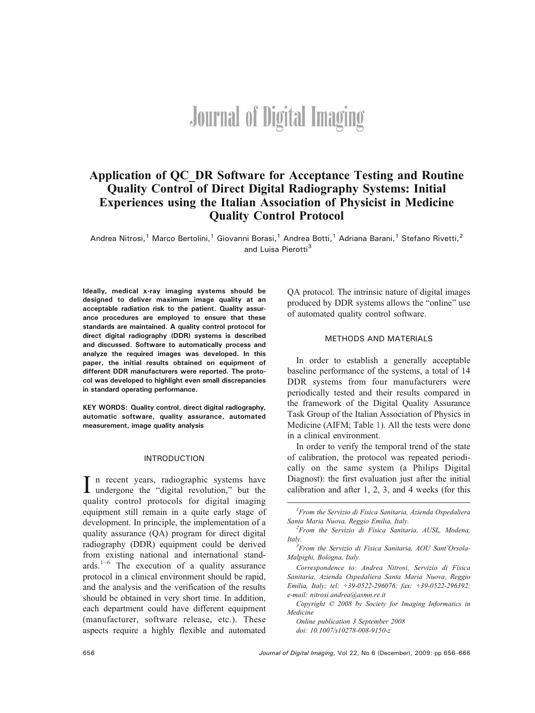# **Journal of Digital Imaging**

# Application of QC\_DR Software for Acceptance Testing and Routine Quality Control of Direct Digital Radiography Systems: Initial Experiences using the Italian Association of Physicist in Medicine Quality Control Protocol

Andrea Nitrosi,<sup>1</sup> Marco Bertolini,<sup>1</sup> Giovanni Borasi,<sup>1</sup> Andrea Botti,<sup>1</sup> Adriana Barani,<sup>1</sup> Stefano Rivetti,<sup>2</sup> and Luisa Pierotti<sup>3</sup>

Ideally, medical x-ray imaging systems should be designed to deliver maximum image quality at an acceptable radiation risk to the patient. Quality assurance procedures are employed to ensure that these standards are maintained. A quality control protocol for direct digital radiography (DDR) systems is described and discussed. Software to automatically process and analyze the required images was developed. In this paper, the initial results obtained on equipment of different DDR manufacturers were reported. The protocol was developed to highlight even small discrepancies in standard operating performance.

KEY WORDS: Quality control, direct digital radiography, automatic software, quality assurance, automated measurement, image quality analysis

# INTRODUCTION

In recent years, radiographic systems have<br>undergone the "digital revolution," but the quality control protocols for digital imaging equipment still remain in a quite early stage of development. In principle, the implementation of a quality assurance (QA) program for direct digital radiography (DDR) equipment could be derived from existing national and international standards. $1-6$  $1-6$  $1-6$  The execution of a quality assurance protocol in a clinical environment should be rapid, and the analysis and the verification of the results should be obtained in very short time. In addition, each department could have different equipment (manufacturer, software release, etc.). These aspects require a highly flexible and automated QA protocol. The intrinsic nature of digital images produced by DDR systems allows the "online" use of automated quality control software.

### METHODS AND MATERIALS

In order to establish a generally acceptable baseline performance of the systems, a total of 14 DDR systems from four manufacturers were periodically tested and their results compared in the framework of the Digital Quality Assurance Task Group of the Italian Association of Physics in Medicine (AIFM; Table [1\)](#page-1-0). All the tests were done in a clinical environment.

In order to verify the temporal trend of the state of calibration, the protocol was repeated periodically on the same system (a Philips Digital Diagnost): the first evaluation just after the initial calibration and after 1, 2, 3, and 4 weeks (for this

Online publication 3 September 2008 doi: [10.1007/s10278-008-9150-z](http://dx.doi.org/10.1007/s10278-008-9150-z)

<sup>&</sup>lt;sup>1</sup> From the Servizio di Fisica Sanitaria, Azienda Ospedaliera Santa Maria Nuova, Reggio Emilia, Italy.

 $2$ From the Servizio di Fisica Sanitaria, AUSL, Modena, Italy.

From the Servizio di Fisica Sanitaria, AOU Sant*'*Orsola-Malpighi, Bologna, Italy.

Correspondence to: Andrea Nitrosi, Servizio di Fisica Sanitaria, Azienda Ospedaliera Santa Maria Nuova, Reggio Emilia, Italy; tel: +39-0522-296076; fax: +39-0522-296392; e-mail: nitrosi.andrea@asmn.re.it

Copyright  $O$  2008 by Society for Imaging Informatics in Medicine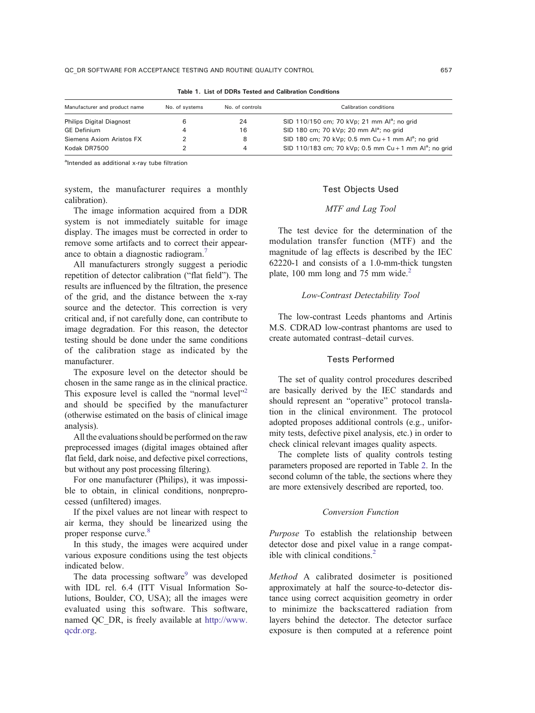<span id="page-1-0"></span>

| Manufacturer and product name   | No. of systems | No. of controls | Calibration conditions                                             |
|---------------------------------|----------------|-----------------|--------------------------------------------------------------------|
| <b>Philips Digital Diagnost</b> |                | 24              | SID 110/150 cm; 70 kVp; 21 mm Al <sup>a</sup> ; no grid            |
| <b>GE</b> Definium              | $\Delta$       | 16              | SID 180 cm; 70 kVp; 20 mm $Al^a$ ; no grid                         |
| Siemens Axiom Aristos FX        |                | 8               | SID 180 cm; 70 kVp; 0.5 mm Cu + 1 mm Al <sup>a</sup> ; no grid     |
| Kodak DR7500                    |                | 4               | SID 110/183 cm; 70 kVp; 0.5 mm Cu + 1 mm Al <sup>a</sup> ; no grid |

Table 1. List of DDRs Tested and Calibration Conditions

<sup>a</sup>Intended as additional x-ray tube filtration

system, the manufacturer requires a monthly calibration).

The image information acquired from a DDR system is not immediately suitable for image display. The images must be corrected in order to remove some artifacts and to correct their appearance to obtain a diagnostic radiogram.[7](#page-10-0)

All manufacturers strongly suggest a periodic repetition of detector calibration ("flat field"). The results are influenced by the filtration, the presence of the grid, and the distance between the x-ray source and the detector. This correction is very critical and, if not carefully done, can contribute to image degradation. For this reason, the detector testing should be done under the same conditions of the calibration stage as indicated by the manufacturer.

The exposure level on the detector should be chosen in the same range as in the clinical practice. This exposure level is called the "normal level"<sup>[2](#page-10-0)</sup> and should be specified by the manufacturer (otherwise estimated on the basis of clinical image analysis).

All the evaluations should be performed on the raw preprocessed images (digital images obtained after flat field, dark noise, and defective pixel corrections, but without any post processing filtering).

For one manufacturer (Philips), it was impossible to obtain, in clinical conditions, nonpreprocessed (unfiltered) images.

If the pixel values are not linear with respect to air kerma, they should be linearized using the proper response curve.<sup>[8](#page-10-0)</sup>

In this study, the images were acquired under various exposure conditions using the test objects indicated below.

The data processing software<sup>[9](#page-10-0)</sup> was developed with IDL rel. 6.4 (ITT Visual Information Solutions, Boulder, CO, USA); all the images were evaluated using this software. This software, named QC\_DR, is freely available at [http://www.](http://www.qcdr.org) [qcdr.org.](http://www.qcdr.org)

# Test Objects Used

# MTF and Lag Tool

The test device for the determination of the modulation transfer function (MTF) and the magnitude of lag effects is described by the IEC 62220-1 and consists of a 1.0-mm-thick tungsten plate, 100 mm long and 75 mm wide. $^{2}$  $^{2}$  $^{2}$ 

# Low-Contrast Detectability Tool

The low-contrast Leeds phantoms and Artinis M.S. CDRAD low-contrast phantoms are used to create automated contrast–detail curves.

# Tests Performed

The set of quality control procedures described are basically derived by the IEC standards and should represent an "operative" protocol translation in the clinical environment. The protocol adopted proposes additional controls (e.g., uniformity tests, defective pixel analysis, etc.) in order to check clinical relevant images quality aspects.

The complete lists of quality controls testing parameters proposed are reported in Table [2.](#page-2-0) In the second column of the table, the sections where they are more extensively described are reported, too.

# Conversion Function

Purpose To establish the relationship between detector dose and pixel value in a range compat-ible with clinical conditions.<sup>[2](#page-10-0)</sup>

Method A calibrated dosimeter is positioned approximately at half the source-to-detector distance using correct acquisition geometry in order to minimize the backscattered radiation from layers behind the detector. The detector surface exposure is then computed at a reference point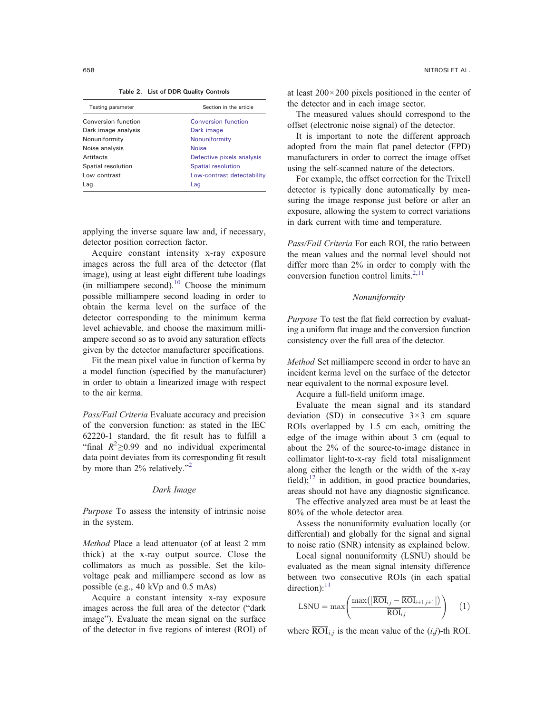Table 2. List of DDR Quality Controls

<span id="page-2-0"></span>

| Testing parameter   | Section in the article     |
|---------------------|----------------------------|
| Conversion function | Conversion function        |
| Dark image analysis | Dark image                 |
| Nonuniformity       | Nonuniformity              |
| Noise analysis      | <b>Noise</b>               |
| Artifacts           | Defective pixels analysis  |
| Spatial resolution  | <b>Spatial resolution</b>  |
| Low contrast        | Low-contrast detectability |
| Lag                 | Lag                        |

applying the inverse square law and, if necessary, detector position correction factor.

Acquire constant intensity x-ray exposure images across the full area of the detector (flat image), using at least eight different tube loadings  $(in$  milliampere second).<sup>10</sup> Choose the minimum possible milliampere second loading in order to obtain the kerma level on the surface of the detector corresponding to the minimum kerma level achievable, and choose the maximum milliampere second so as to avoid any saturation effects given by the detector manufacturer specifications.

Fit the mean pixel value in function of kerma by a model function (specified by the manufacturer) in order to obtain a linearized image with respect to the air kerma.

Pass/Fail Criteria Evaluate accuracy and precision of the conversion function: as stated in the IEC 62220-1 standard, the fit result has to fulfill a "final  $R^2 \ge 0.99$  and no individual experimental data point deviates from its corresponding fit result by more than [2](#page-10-0)% relatively."<sup>2</sup>

# Dark Image

Purpose To assess the intensity of intrinsic noise in the system.

Method Place a lead attenuator (of at least 2 mm thick) at the x-ray output source. Close the collimators as much as possible. Set the kilovoltage peak and milliampere second as low as possible (e.g., 40 kVp and 0.5 mAs)

Acquire a constant intensity x-ray exposure images across the full area of the detector ("dark image"). Evaluate the mean signal on the surface of the detector in five regions of interest (ROI) of at least  $200 \times 200$  pixels positioned in the center of the detector and in each image sector.

The measured values should correspond to the offset (electronic noise signal) of the detector.

It is important to note the different approach adopted from the main flat panel detector (FPD) manufacturers in order to correct the image offset using the self-scanned nature of the detectors.

For example, the offset correction for the Trixell detector is typically done automatically by measuring the image response just before or after an exposure, allowing the system to correct variations in dark current with time and temperature.

Pass/Fail Criteria For each ROI, the ratio between the mean values and the normal level should not differ more than 2% in order to comply with the conversion function control limits. $2,11$ 

# Nonuniformity

Purpose To test the flat field correction by evaluating a uniform flat image and the conversion function consistency over the full area of the detector.

Method Set milliampere second in order to have an incident kerma level on the surface of the detector near equivalent to the normal exposure level.

Acquire a full-field uniform image.

Evaluate the mean signal and its standard deviation (SD) in consecutive  $3 \times 3$  cm square ROIs overlapped by 1.5 cm each, omitting the edge of the image within about 3 cm (equal to about the 2% of the source-to-image distance in collimator light-to-x-ray field total misalignment along either the length or the width of the x-ray field); $^{12}$  $^{12}$  $^{12}$  in addition, in good practice boundaries, areas should not have any diagnostic significance.

The effective analyzed area must be at least the 80% of the whole detector area.

Assess the nonuniformity evaluation locally (or differential) and globally for the signal and signal to noise ratio (SNR) intensity as explained below.

Local signal nonuniformity (LSNU) should be evaluated as the mean signal intensity difference between two consecutive ROIs (in each spatial  $direction):$ <sup>[11](#page-10-0)</sup>

$$
LSNU = \max\left(\frac{\max\left(\left|\overline{ROI}_{i,j} - \overline{ROI}_{i\pm 1,j\pm 1}\right|\right)}{\overline{ROI}_{i,j}}\right) \quad (1)
$$

where  $\overline{\text{ROI}}_{i,j}$  is the mean value of the  $(i,j)$ -th ROI.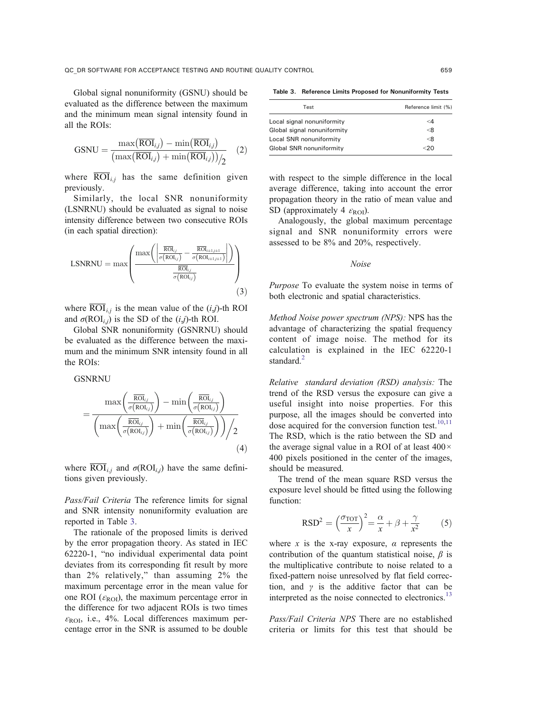<span id="page-3-0"></span>Global signal nonuniformity (GSNU) should be evaluated as the difference between the maximum and the minimum mean signal intensity found in all the ROIs:

$$
GSNU = \frac{\max(\overline{ROI}_{i,j}) - \min(\overline{ROI}_{i,j})}{(\max(\overline{ROI}_{i,j}) + \min(\overline{ROI}_{i,j}))}_{2}
$$
 (2)

where  $\overline{ROI}_{i,j}$  has the same definition given previously.

Similarly, the local SNR nonuniformity (LSNRNU) should be evaluated as signal to noise intensity difference between two consecutive ROIs (in each spatial direction):

$$
LSNRNU = \max \left( \frac{\max \left( \left| \frac{\overline{\text{ROI}}_{i,j}}{\sigma(\text{ROI}_{i,j})} - \frac{\overline{\text{ROI}}_{i+1,i+1}}{\sigma(\text{ROI}_{i+1,i+1})} \right| \right)}{\frac{\overline{\text{ROI}}_{i,j}}{\sigma(\text{ROI}_{i,j})}} \right)
$$
(3)

where  $\overline{ROI}_{i,j}$  is the mean value of the  $(i,j)$ -th ROI and  $\sigma(\text{ROI}_{i,j})$  is the SD of the  $(i,j)$ -th ROI.

Global SNR nonuniformity (GSNRNU) should be evaluated as the difference between the maximum and the minimum SNR intensity found in all the ROIs:

**GSNRNU** 

$$
= \frac{\max\left(\frac{\overline{\text{ROI}}_{i,j}}{\sigma(\text{ROI}_{i,j})}\right) - \min\left(\frac{\overline{\text{ROI}}_{i,j}}{\sigma(\text{ROI}_{i,j})}\right)}{\left(\max\left(\frac{\overline{\text{ROI}}_{i,j}}{\sigma(\text{ROI}_{i,j})}\right) + \min\left(\frac{\overline{\text{ROI}}_{i,j}}{\sigma(\text{ROI}_{i,j})}\right)\right)/2}
$$
\n(4)

where  $\text{ROI}_{i,j}$  and  $\sigma(\text{ROI}_{i,j})$  have the same definitions given previously.

Pass/Fail Criteria The reference limits for signal and SNR intensity nonuniformity evaluation are reported in Table 3.

The rationale of the proposed limits is derived by the error propagation theory. As stated in IEC 62220-1, "no individual experimental data point deviates from its corresponding fit result by more than 2% relatively," than assuming 2% the maximum percentage error in the mean value for one ROI ( $\varepsilon_{\text{ROI}}$ ), the maximum percentage error in the difference for two adjacent ROIs is two times  $\varepsilon_{\text{ROI}}$ , i.e., 4%. Local differences maximum percentage error in the SNR is assumed to be double

Table 3. Reference Limits Proposed for Nonuniformity Tests

| Test                        | Reference limit (%) |
|-----------------------------|---------------------|
| Local signal nonuniformity  | $\leq 4$            |
| Global signal nonuniformity | < 8                 |
| Local SNR nonuniformity     | < 8                 |
| Global SNR nonuniformity    | ר 2                 |
|                             |                     |

with respect to the simple difference in the local average difference, taking into account the error propagation theory in the ratio of mean value and SD (approximately 4  $\varepsilon_{\text{ROI}}$ ).

Analogously, the global maximum percentage signal and SNR nonuniformity errors were assessed to be 8% and 20%, respectively.

#### Noise

Purpose To evaluate the system noise in terms of both electronic and spatial characteristics.

Method Noise power spectrum (NPS): NPS has the advantage of characterizing the spatial frequency content of image noise. The method for its calculation is explained in the IEC 62220-1 standard.<sup>[2](#page-10-0)</sup>

Relative standard deviation (RSD) analysis: The trend of the RSD versus the exposure can give a useful insight into noise properties. For this purpose, all the images should be converted into dose acquired for the conversion function test. $10,11$ The RSD, which is the ratio between the SD and the average signal value in a ROI of at least 400× 400 pixels positioned in the center of the images, should be measured.

The trend of the mean square RSD versus the exposure level should be fitted using the following function:

$$
RSD2 = \left(\frac{\sigma_{TOT}}{x}\right)^2 = \frac{\alpha}{x} + \beta + \frac{\gamma}{x^2}
$$
 (5)

where x is the x-ray exposure,  $\alpha$  represents the contribution of the quantum statistical noise,  $\beta$  is the multiplicative contribute to noise related to a fixed-pattern noise unresolved by flat field correction, and  $\gamma$  is the additive factor that can be interpreted as the noise connected to electronics.<sup>[13](#page-10-0)</sup>

Pass/Fail Criteria NPS There are no established criteria or limits for this test that should be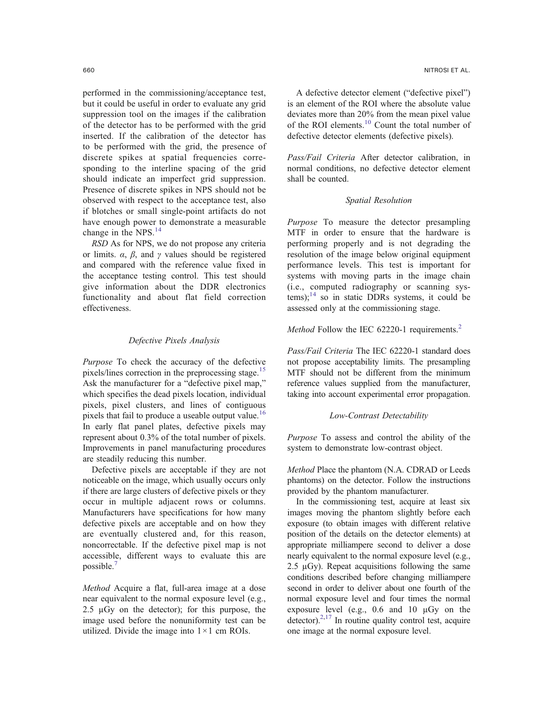<span id="page-4-0"></span>performed in the commissioning/acceptance test, but it could be useful in order to evaluate any grid suppression tool on the images if the calibration of the detector has to be performed with the grid inserted. If the calibration of the detector has to be performed with the grid, the presence of discrete spikes at spatial frequencies corresponding to the interline spacing of the grid should indicate an imperfect grid suppression. Presence of discrete spikes in NPS should not be observed with respect to the acceptance test, also if blotches or small single-point artifacts do not have enough power to demonstrate a measurable change in the NPS.<sup>[14](#page-10-0)</sup>

RSD As for NPS, we do not propose any criteria or limits.  $\alpha$ ,  $\beta$ , and  $\gamma$  values should be registered and compared with the reference value fixed in the acceptance testing control. This test should give information about the DDR electronics functionality and about flat field correction effectiveness.

# Defective Pixels Analysis

Purpose To check the accuracy of the defective pixels/lines correction in the preprocessing stage.<sup>[15](#page-10-0)</sup> Ask the manufacturer for a "defective pixel map," which specifies the dead pixels location, individual pixels, pixel clusters, and lines of contiguous pixels that fail to produce a useable output value.<sup>[16](#page-10-0)</sup> In early flat panel plates, defective pixels may represent about 0.3% of the total number of pixels. Improvements in panel manufacturing procedures are steadily reducing this number.

Defective pixels are acceptable if they are not noticeable on the image, which usually occurs only if there are large clusters of defective pixels or they occur in multiple adjacent rows or columns. Manufacturers have specifications for how many defective pixels are acceptable and on how they are eventually clustered and, for this reason, noncorrectable. If the defective pixel map is not accessible, different ways to evaluate this are possible.[7](#page-10-0)

Method Acquire a flat, full-area image at a dose near equivalent to the normal exposure level (e.g., 2.5  $\mu$ Gy on the detector); for this purpose, the image used before the nonuniformity test can be utilized. Divide the image into  $1 \times 1$  cm ROIs.

A defective detector element ("defective pixel") is an element of the ROI where the absolute value deviates more than 20% from the mean pixel value of the ROI elements.[10](#page-10-0) Count the total number of defective detector elements (defective pixels).

Pass/Fail Criteria After detector calibration, in normal conditions, no defective detector element shall be counted.

# Spatial Resolution

Purpose To measure the detector presampling MTF in order to ensure that the hardware is performing properly and is not degrading the resolution of the image below original equipment performance levels. This test is important for systems with moving parts in the image chain (i.e., computed radiography or scanning systems); $^{14}$  $^{14}$  $^{14}$  so in static DDRs systems, it could be assessed only at the commissioning stage.

# *Method* Follow the IEC 6[2](#page-10-0)220-1 requirements.<sup>2</sup>

Pass/Fail Criteria The IEC 62220-1 standard does not propose acceptability limits. The presampling MTF should not be different from the minimum reference values supplied from the manufacturer, taking into account experimental error propagation.

# Low-Contrast Detectability

Purpose To assess and control the ability of the system to demonstrate low-contrast object.

Method Place the phantom (N.A. CDRAD or Leeds phantoms) on the detector. Follow the instructions provided by the phantom manufacturer.

In the commissioning test, acquire at least six images moving the phantom slightly before each exposure (to obtain images with different relative position of the details on the detector elements) at appropriate milliampere second to deliver a dose nearly equivalent to the normal exposure level (e.g., 2.5  $\mu$ Gy). Repeat acquisitions following the same conditions described before changing milliampere second in order to deliver about one fourth of the normal exposure level and four times the normal exposure level (e.g., 0.6 and 10 μGy on the detector). $2,17$  $2,17$  In routine quality control test, acquire one image at the normal exposure level.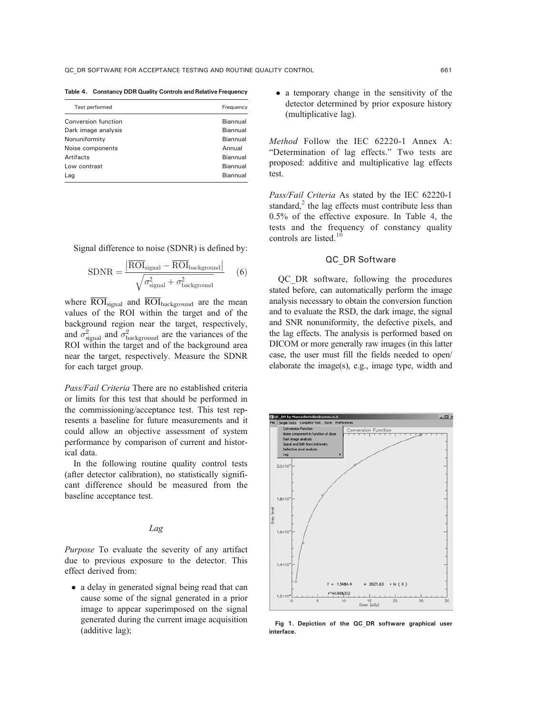<span id="page-5-0"></span>Table 4. Constancy DDR Quality Controls and Relative Frequency

| Test performed      | Frequency       |
|---------------------|-----------------|
| Conversion function | Biannual        |
| Dark image analysis | Biannual        |
| Nonuniformity       | Biannual        |
| Noise components    | Annual          |
| Artifacts           | Biannual        |
| Low contrast        | Biannual        |
| Lag                 | <b>Biannual</b> |

Signal difference to noise (SDNR) is defined by:

$$
SDNR = \frac{\left| \overline{ROI}_{signal} - \overline{ROI}_{background} \right|}{\sqrt{\sigma_{signal}^2 + \sigma_{background}^2}} \quad (6)
$$

where  $\overline{ROI}_{signal}$  and  $\overline{ROI}_{background}$  are the mean values of the ROI within the target and of the background region near the target, respectively, and  $\sigma_{\text{signal}}^2$  and  $\sigma_{\text{background}}^2$  are the variances of the ROI within the target and of the background area near the target, respectively. Measure the SDNR for each target group.

Pass/Fail Criteria There are no established criteria or limits for this test that should be performed in the commissioning/acceptance test. This test represents a baseline for future measurements and it could allow an objective assessment of system performance by comparison of current and historical data.

In the following routine quality control tests (after detector calibration), no statistically significant difference should be measured from the baseline acceptance test.

# Lag

Purpose To evaluate the severity of any artifact due to previous exposure to the detector. This effect derived from:

• a delay in generated signal being read that can cause some of the signal generated in a prior image to appear superimposed on the signal generated during the current image acquisition (additive lag);

 a temporary change in the sensitivity of the detector determined by prior exposure history (multiplicative lag).

Method Follow the IEC 62220-1 Annex A: "Determination of lag effects." Two tests are proposed: additive and multiplicative lag effects test.

Pass/Fail Criteria As stated by the IEC 62220-1 standard, $<sup>2</sup>$  $<sup>2</sup>$  $<sup>2</sup>$  the lag effects must contribute less than</sup> 0.5% of the effective exposure. In Table 4, the tests and the frequency of constancy quality controls are listed.<sup>[10](#page-10-0)</sup>

# QC\_DR Software

QC\_DR software, following the procedures stated before, can automatically perform the image analysis necessary to obtain the conversion function and to evaluate the RSD, the dark image, the signal and SNR nonuniformity, the defective pixels, and the lag effects. The analysis is performed based on DICOM or more generally raw images (in this latter case, the user must fill the fields needed to open/ elaborate the image(s), e.g., image type, width and



Fig 1. Depiction of the QC\_DR software graphical user interface.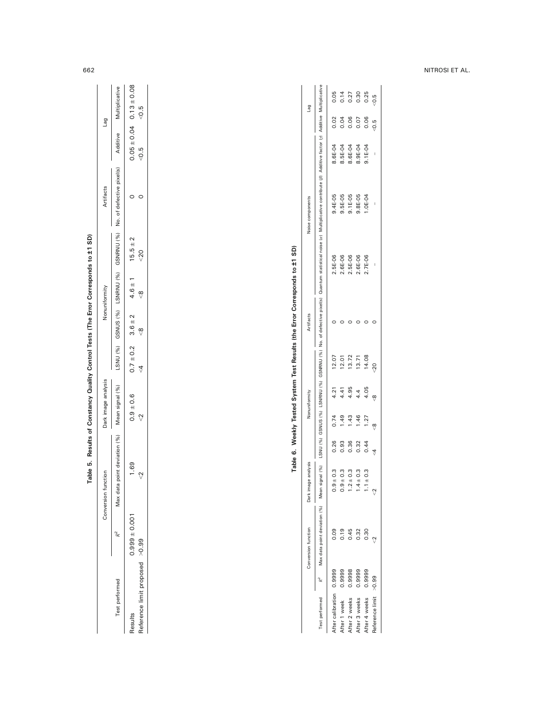| ę<br>j                                                                          |
|---------------------------------------------------------------------------------|
|                                                                                 |
|                                                                                 |
| ۱<br>֡֡֡<br>l<br>í<br>ı                                                         |
| l                                                                               |
| $\overline{a}$<br>֖֖֖֖֧ׅׅׅׅ֖֖֧֖֧֖֧֖֧֚֚֚֚֚֚֚֚֚֚֚֚֚֚֚֚֚֚֚֚֚֚֚֚֚֚֚֚֚֡֝֝֬֝֓֞֝֓֞֝֓֞֝ |
| l                                                                               |
| l<br>l                                                                          |
| ı                                                                               |
| ١<br>֖֖֖֖֖֧֪ׅ֖֧֚֚֚֚֚֚֚֚֚֚֚֚֚֚֚֚֚֚֚֚֚֚֚֚֚֚֚֚֚֚֚֚֚֡֬֝֓֞<br>l                      |
| í<br>j                                                                          |
| l                                                                               |
| ı                                                                               |

|                          |        | Conversion function                                                        | Dark image analysis |                |                | Nonuniformity |         | Artifacts |                                                                                                                                                                 | Noise components |          |      | Bel              |
|--------------------------|--------|----------------------------------------------------------------------------|---------------------|----------------|----------------|---------------|---------|-----------|-----------------------------------------------------------------------------------------------------------------------------------------------------------------|------------------|----------|------|------------------|
|                          |        | Test performed R <sup>2</sup> Max data point deviation (%) Mean signal (%) |                     |                |                |               |         |           | LSNU (%) GSNUS (%) GSNRNU (%) No. of defective pixel(s) Quantum statistical noise (a) Multiplicative contribute (β) Additive factor (γ) Additive Multiplicative |                  |          |      |                  |
| After calibration 0.9999 |        |                                                                            | ± 0.3               | 0.26           | 0.74           | 4.21          | 12.07   |           | 2.5E-06                                                                                                                                                         | 9.4E-05          | 8.6E-04  | 0.02 | 0.05             |
| After 1 week             | 0.9999 | 0.19                                                                       | $\pm 0.3$<br>0.9    | 0.93           | 49             | 4.41          | 12.01   |           | $2.6E - 06$                                                                                                                                                     | 9.5E-05          | 8.5E-04  | 0.04 | 0.14             |
| After 2 weeks            | 0.9998 | 0.45                                                                       | ± 0.3<br>Ņ          | 0.36           | $\frac{43}{5}$ | 4.95          | 13.72   |           | $2.5E - 06$                                                                                                                                                     | $9.1E-05$        | 8.6E-04  | 0.06 | 0.27             |
| After 3 weeks            | 0.9999 | 0.32                                                                       | ±0.3                | 0.32           | 1.46           | 4.4           | 13.71   |           | $2.6E - 06$                                                                                                                                                     | $9.8E - 05$      | 8.9E-04  | 0.07 | 0.30             |
| After 4 weeks            | 0.9999 | $\frac{30}{2}$                                                             | ±0.3                | 0.44           | 1.27           | 4.05          | 14.08   |           | $.7E-06$                                                                                                                                                        | $-96 - 30.$      | $.1E-04$ | 0.06 | 0.25             |
| Reference limit >0.99    |        |                                                                            |                     | $\overline{4}$ | œ              | ă             | $^{20}$ |           |                                                                                                                                                                 |                  |          | 0.5  | $\overline{6}$ . |
|                          |        |                                                                            |                     |                |                |               |         |           |                                                                                                                                                                 |                  |          |      |                  |

# <span id="page-6-0"></span>662 NITROSI ET AL.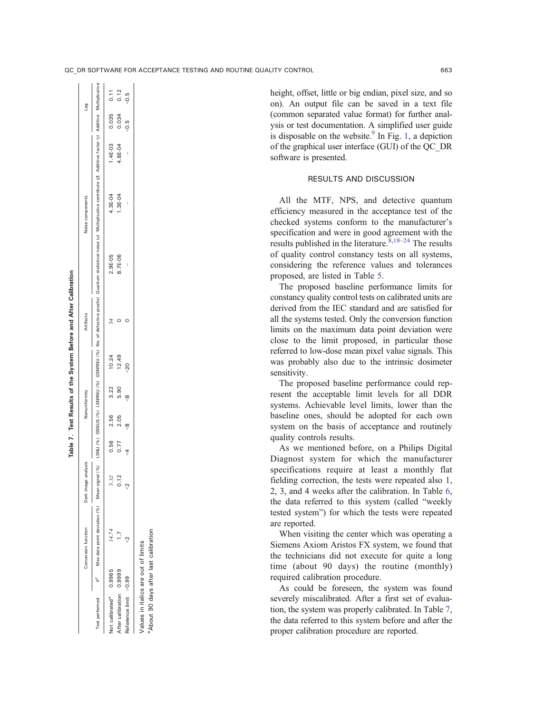height, offset, little or big endian, pixel size, and so on). An output file can be saved in a text file (common separated value format) for further analysis or test documentation. A simplified user guide is disposable on the website. $9 \text{ In Fig. 1, a depiction}$  $9 \text{ In Fig. 1, a depiction}$  $9 \text{ In Fig. 1, a depiction}$  $9 \text{ In Fig. 1, a depiction}$ of the graphical user interface (GUI) of the QC\_DR software is presented.

# RESULTS AND DISCUSSION

All the MTF, NPS, and detective quantum efficiency measured in the acceptance test of the checked systems conform to the manufacturer's specification and were in good agreement with the results published in the literature.  $8,18-24$  $8,18-24$  $8,18-24$  The results of quality control constancy tests on all systems, considering the reference values and tolerances proposed, are listed in Table [5.](#page-6-0)

The proposed baseline performance limits for constancy quality control tests on calibrated units are derived from the IEC standard and are satisfied for all the systems tested. Only the conversion function limits on the maximum data point deviation were close to the limit proposed, in particular those referred to low-dose mean pixel value signals. This was probably also due to the intrinsic dosimeter sensitivity.

The proposed baseline performance could represent the acceptable limit levels for all DDR systems. Achievable level limits, lower than the baseline ones, should be adopted for each own system on the basis of acceptance and routinely quality controls results.

As we mentioned before, on a Philips Digital Diagnost system for which the manufacturer specifications require at least a monthly flat fielding correction, the tests were repeated also 1, 2, 3, and 4 weeks after the calibration. In Table [6,](#page-6-0) the data referred to this system (called "weekly tested system") for which the tests were repeated are reported.

When visiting the center which was operating a Siemens Axiom Aristos FX system, we found that the technicians did not execute for quite a long time (about 90 days) the routine (monthly) required calibration procedure.

As could be foreseen, the system was found severely miscalibrated. After a first set of evaluation, the system was properly calibrated. In Table 7, the data referred to this system before and after the proper calibration procedure are reported.

Table 7. Test Results of the System Before and After Calibration Table 7. Test Results of the System Before and After Calibration

|                                     |        | Conversion function                                                    | Dark image analysis |      |      | Nonuniformity |                | Artifacts |                                                                                                                                                                  | Noise components |             |        | <b>Ber</b> |
|-------------------------------------|--------|------------------------------------------------------------------------|---------------------|------|------|---------------|----------------|-----------|------------------------------------------------------------------------------------------------------------------------------------------------------------------|------------------|-------------|--------|------------|
|                                     |        | Test performed R <sup>2</sup> Max data point deviation (%) Mean signal | $\binom{96}{6}$     |      |      |               |                |           | LSNU (%) LSNRNU (%) CSNRNU (%) No. of defective pixel(s) Quantum statistical noise (a) Multiplicative contribute (β) Additive factor (γ) Additive Multiplicative |                  |             |        |            |
| lot calibrated <sup>ª</sup> 0.9965  |        | 14.74                                                                  | 5.32                | 0.56 | 2.56 | 3.22          | 10.24          |           | $2.9E - 05$                                                                                                                                                      | 4.3E-04          | $1.4E - 03$ | 0.035  | 0.11       |
| After calibration                   | 0.9999 |                                                                        | 0.12                | 0.77 | 2.05 | 5.90          | 12.49          |           | 8.7E-06                                                                                                                                                          | $.3E-04$         | 1.8E-04     | 0.034  | 0.12       |
| Reference limit > 0.99              |        |                                                                        |                     |      |      |               | $\frac{20}{2}$ |           |                                                                                                                                                                  |                  |             | $-0.5$ | $-0.5$     |
| /alues in italics are out of limits |        |                                                                        |                     |      |      |               |                |           |                                                                                                                                                                  |                  |             |        |            |

Values in italics are out of limits aAbout 90 days after last calibration

About 90 days after last calibration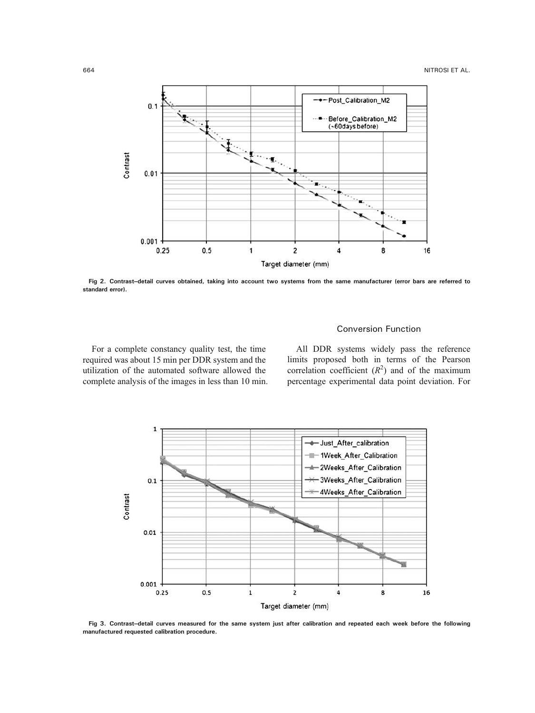<span id="page-8-0"></span>

Fig 2. Contrast–detail curves obtained, taking into account two systems from the same manufacturer (error bars are referred to standard error).

# Conversion Function

For a complete constancy quality test, the time required was about 15 min per DDR system and the utilization of the automated software allowed the complete analysis of the images in less than 10 min.

All DDR systems widely pass the reference limits proposed both in terms of the Pearson correlation coefficient  $(R^2)$  and of the maximum percentage experimental data point deviation. For



Fig 3. Contrast–detail curves measured for the same system just after calibration and repeated each week before the following manufactured requested calibration procedure.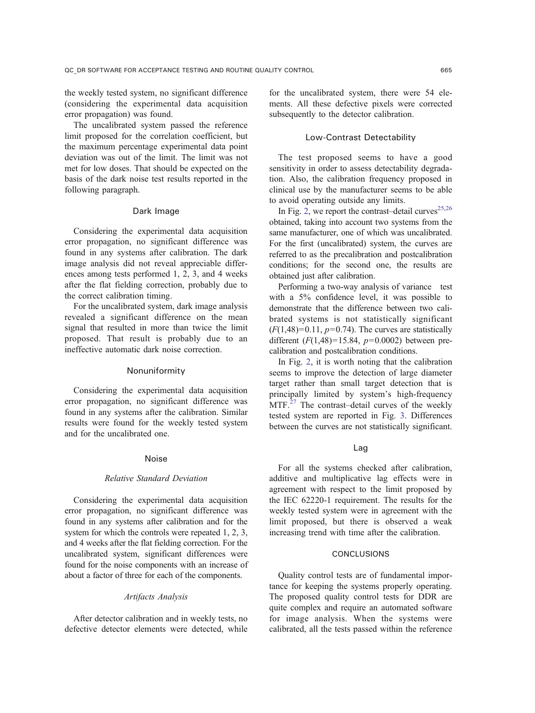the weekly tested system, no significant difference (considering the experimental data acquisition error propagation) was found.

The uncalibrated system passed the reference limit proposed for the correlation coefficient, but the maximum percentage experimental data point deviation was out of the limit. The limit was not met for low doses. That should be expected on the basis of the dark noise test results reported in the following paragraph.

#### Dark Image

Considering the experimental data acquisition error propagation, no significant difference was found in any systems after calibration. The dark image analysis did not reveal appreciable differences among tests performed 1, 2, 3, and 4 weeks after the flat fielding correction, probably due to the correct calibration timing.

For the uncalibrated system, dark image analysis revealed a significant difference on the mean signal that resulted in more than twice the limit proposed. That result is probably due to an ineffective automatic dark noise correction.

# Nonuniformity

Considering the experimental data acquisition error propagation, no significant difference was found in any systems after the calibration. Similar results were found for the weekly tested system and for the uncalibrated one.

# Noise

#### Relative Standard Deviation

Considering the experimental data acquisition error propagation, no significant difference was found in any systems after calibration and for the system for which the controls were repeated 1, 2, 3, and 4 weeks after the flat fielding correction. For the uncalibrated system, significant differences were found for the noise components with an increase of about a factor of three for each of the components.

# Artifacts Analysis

After detector calibration and in weekly tests, no defective detector elements were detected, while for the uncalibrated system, there were 54 elements. All these defective pixels were corrected subsequently to the detector calibration.

# Low-Contrast Detectability

The test proposed seems to have a good sensitivity in order to assess detectability degradation. Also, the calibration frequency proposed in clinical use by the manufacturer seems to be able to avoid operating outside any limits.

In Fig. [2](#page-8-0), we report the contrast-detail curves $25,26$ obtained, taking into account two systems from the same manufacturer, one of which was uncalibrated. For the first (uncalibrated) system, the curves are referred to as the precalibration and postcalibration conditions; for the second one, the results are obtained just after calibration.

Performing a two-way analysis of variance test with a 5% confidence level, it was possible to demonstrate that the difference between two calibrated systems is not statistically significant  $(F(1,48)=0.11, p=0.74)$ . The curves are statistically different  $(F(1,48)=15.84, p=0.0002)$  between precalibration and postcalibration conditions.

In Fig. [2,](#page-8-0) it is worth noting that the calibration seems to improve the detection of large diameter target rather than small target detection that is principally limited by system's high-frequency  $MTF<sup>27</sup>$  $MTF<sup>27</sup>$  $MTF<sup>27</sup>$  The contrast–detail curves of the weekly tested system are reported in Fig. [3](#page-8-0). Differences between the curves are not statistically significant.

#### Lag

For all the systems checked after calibration, additive and multiplicative lag effects were in agreement with respect to the limit proposed by the IEC 62220-1 requirement. The results for the weekly tested system were in agreement with the limit proposed, but there is observed a weak increasing trend with time after the calibration.

### CONCLUSIONS

Quality control tests are of fundamental importance for keeping the systems properly operating. The proposed quality control tests for DDR are quite complex and require an automated software for image analysis. When the systems were calibrated, all the tests passed within the reference